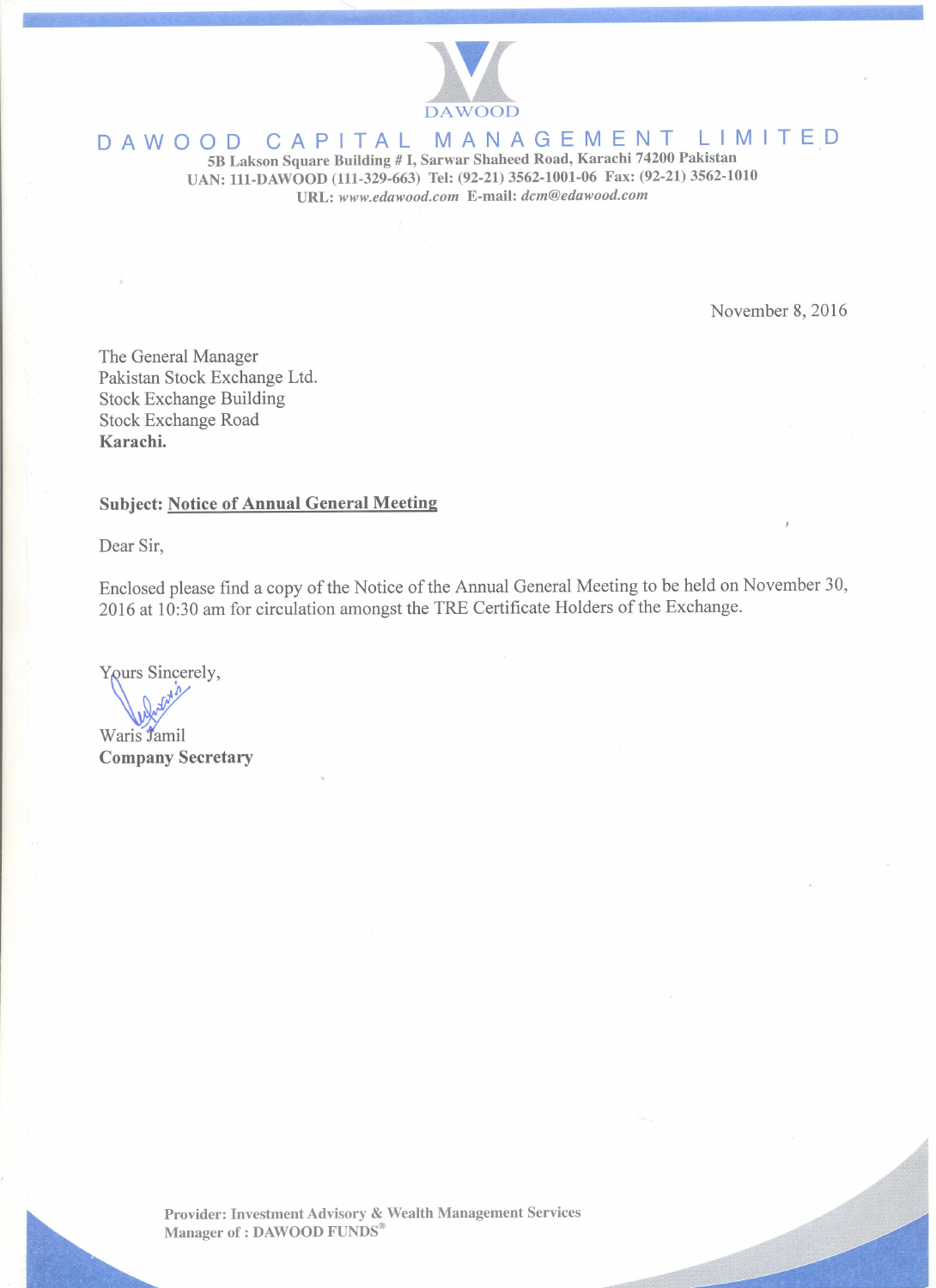

#### MANAGEMENT LIMITED DAWOOD CAPITAL

5B Lakson Square Building # I, Sarwar Shaheed Road, Karachi 74200 Pakistan UAN: 111-DAWOOD (111-329-663) Tel: (92-21) 3562-1001-06 Fax: (92-21) 3562-1010 URL: www.edawood.com E-mail: dcm@edawood.com

November 8, 2016

The General Manager Pakistan Stock Exchange Ltd. **Stock Exchange Building Stock Exchange Road** Karachi.

# **Subject: Notice of Annual General Meeting**

Dear Sir,

Enclosed please find a copy of the Notice of the Annual General Meeting to be held on November 30, 2016 at 10:30 am for circulation amongst the TRE Certificate Holders of the Exchange.

Yours Sincerely,

Waris Jamil **Company Secretary** 

Provider: Investment Advisory & Wealth Management Services Manager of : DAWOOD FUNDS®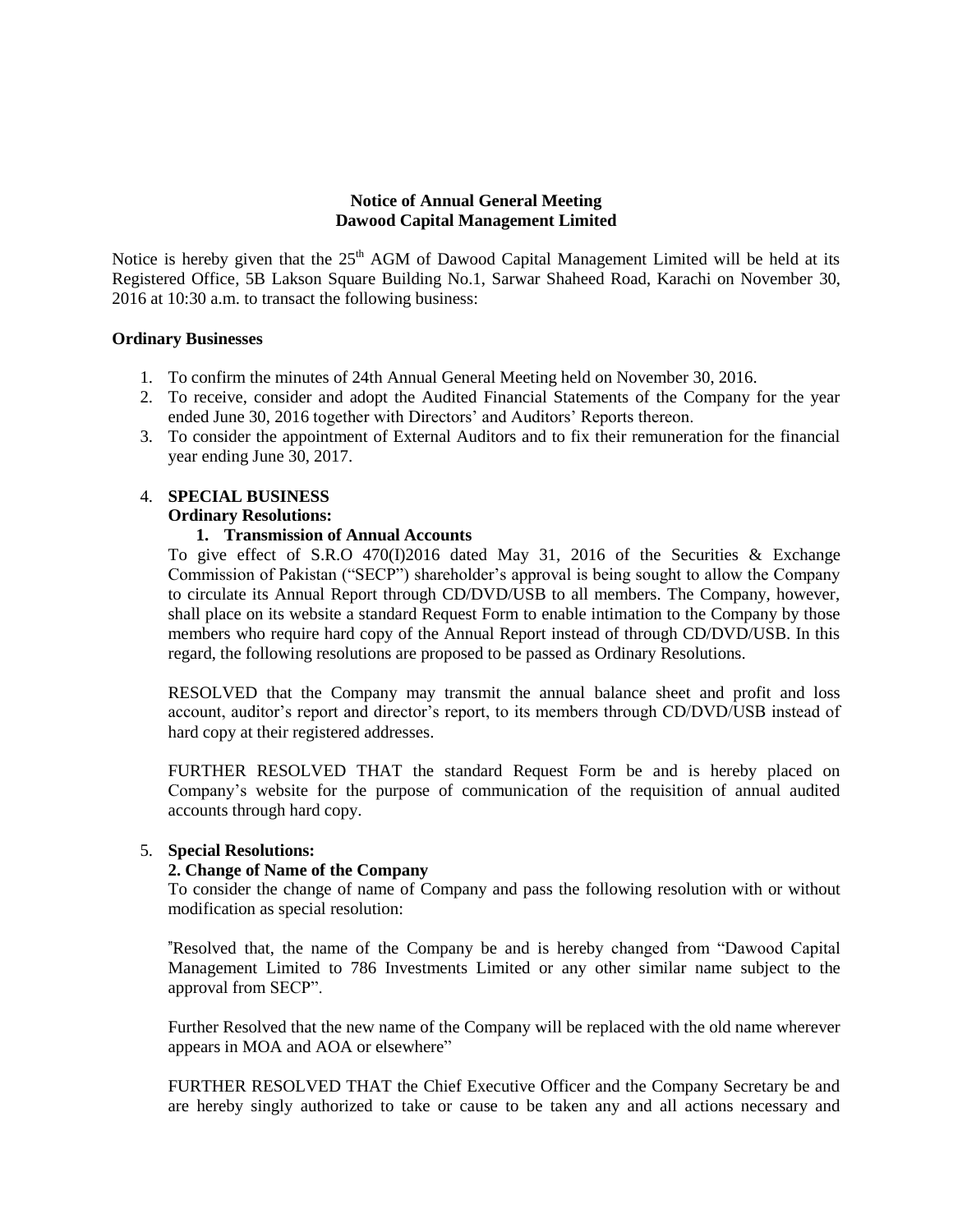# **Notice of Annual General Meeting Dawood Capital Management Limited**

Notice is hereby given that the 25<sup>th</sup> AGM of Dawood Capital Management Limited will be held at its Registered Office, 5B Lakson Square Building No.1, Sarwar Shaheed Road, Karachi on November 30, 2016 at 10:30 a.m. to transact the following business:

# **Ordinary Businesses**

- 1. To confirm the minutes of 24th Annual General Meeting held on November 30, 2016.
- 2. To receive, consider and adopt the Audited Financial Statements of the Company for the year ended June 30, 2016 together with Directors' and Auditors' Reports thereon.
- 3. To consider the appointment of External Auditors and to fix their remuneration for the financial year ending June 30, 2017.

# 4. **SPECIAL BUSINESS**

# **Ordinary Resolutions:**

# **1. Transmission of Annual Accounts**

To give effect of S.R.O  $470(I)2016$  dated May 31, 2016 of the Securities & Exchange Commission of Pakistan ("SECP") shareholder"s approval is being sought to allow the Company to circulate its Annual Report through CD/DVD/USB to all members. The Company, however, shall place on its website a standard Request Form to enable intimation to the Company by those members who require hard copy of the Annual Report instead of through CD/DVD/USB. In this regard, the following resolutions are proposed to be passed as Ordinary Resolutions.

RESOLVED that the Company may transmit the annual balance sheet and profit and loss account, auditor"s report and director"s report, to its members through CD/DVD/USB instead of hard copy at their registered addresses.

FURTHER RESOLVED THAT the standard Request Form be and is hereby placed on Company"s website for the purpose of communication of the requisition of annual audited accounts through hard copy.

### 5. **Special Resolutions:**

### **2. Change of Name of the Company**

To consider the change of name of Company and pass the following resolution with or without modification as special resolution:

"Resolved that, the name of the Company be and is hereby changed from "Dawood Capital Management Limited to 786 Investments Limited or any other similar name subject to the approval from SECP".

Further Resolved that the new name of the Company will be replaced with the old name wherever appears in MOA and AOA or elsewhere"

FURTHER RESOLVED THAT the Chief Executive Officer and the Company Secretary be and are hereby singly authorized to take or cause to be taken any and all actions necessary and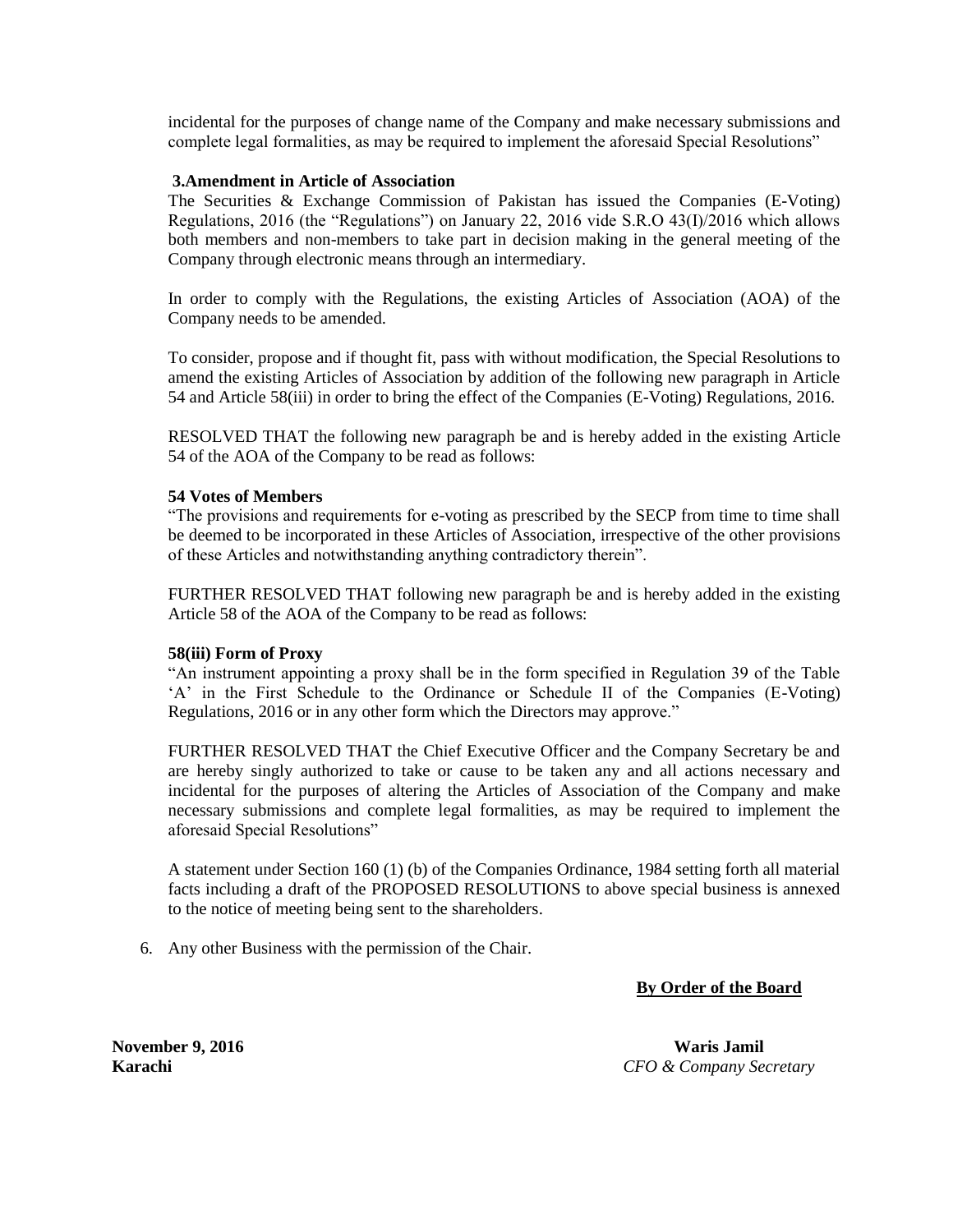incidental for the purposes of change name of the Company and make necessary submissions and complete legal formalities, as may be required to implement the aforesaid Special Resolutions"

# **3.Amendment in Article of Association**

The Securities & Exchange Commission of Pakistan has issued the Companies (E-Voting) Regulations, 2016 (the "Regulations") on January 22, 2016 vide S.R.O 43(I)/2016 which allows both members and non-members to take part in decision making in the general meeting of the Company through electronic means through an intermediary.

In order to comply with the Regulations, the existing Articles of Association (AOA) of the Company needs to be amended.

To consider, propose and if thought fit, pass with without modification, the Special Resolutions to amend the existing Articles of Association by addition of the following new paragraph in Article 54 and Article 58(iii) in order to bring the effect of the Companies (E-Voting) Regulations, 2016.

RESOLVED THAT the following new paragraph be and is hereby added in the existing Article 54 of the AOA of the Company to be read as follows:

### **54 Votes of Members**

"The provisions and requirements for e-voting as prescribed by the SECP from time to time shall be deemed to be incorporated in these Articles of Association, irrespective of the other provisions of these Articles and notwithstanding anything contradictory therein".

FURTHER RESOLVED THAT following new paragraph be and is hereby added in the existing Article 58 of the AOA of the Company to be read as follows:

### **58(iii) Form of Proxy**

"An instrument appointing a proxy shall be in the form specified in Regulation 39 of the Table 'A' in the First Schedule to the Ordinance or Schedule II of the Companies (E-Voting) Regulations, 2016 or in any other form which the Directors may approve."

FURTHER RESOLVED THAT the Chief Executive Officer and the Company Secretary be and are hereby singly authorized to take or cause to be taken any and all actions necessary and incidental for the purposes of altering the Articles of Association of the Company and make necessary submissions and complete legal formalities, as may be required to implement the aforesaid Special Resolutions"

A statement under Section 160 (1) (b) of the Companies Ordinance, 1984 setting forth all material facts including a draft of the PROPOSED RESOLUTIONS to above special business is annexed to the notice of meeting being sent to the shareholders.

6. Any other Business with the permission of the Chair.

**By Order of the Board**

**November 9, 2016 Waris Jamil Karachi** *CFO & Company Secretary*